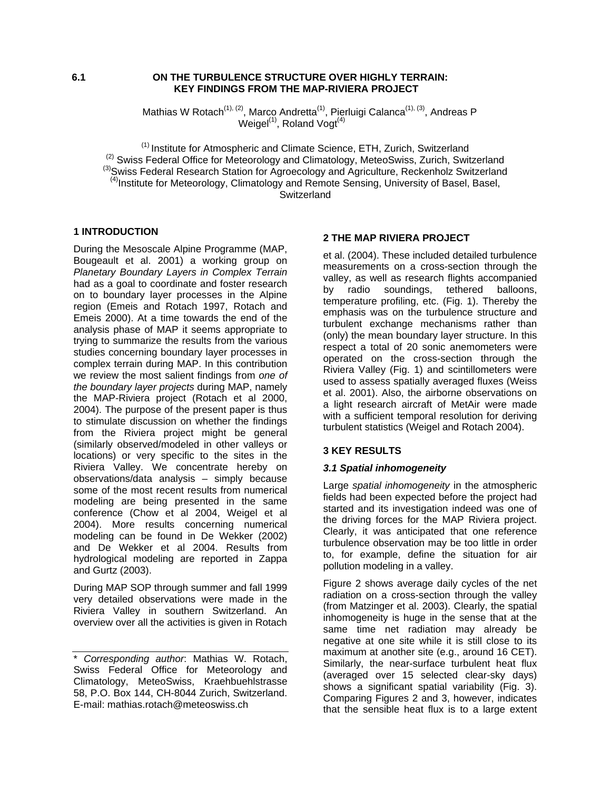## **6.1 ON THE TURBULENCE STRUCTURE OVER HIGHLY TERRAIN: KEY FINDINGS FROM THE MAP-RIVIERA PROJECT**

Mathias W Rotach<sup>(1), (2)</sup>, Marco Andretta<sup>(1)</sup>, Pierluigi Calanca<sup>(1), (3)</sup>, Andreas P Weigel $^{(1)}$ , Roland Vogt $^{(4)}$ 

<sup>(2)</sup> Swiss Federal Office for Meteorology and Climate Science, ETH, Zurich, Switzerland<br>
<sup>(2)</sup> Swiss Federal Office for Meteorology and Climatology, MeteoSwiss, Zurich, Switzerland<br>
<sup>(3)</sup> Swiss Federal Research Station f **Switzerland** 

# **1 INTRODUCTION**

During the Mesoscale Alpine Programme (MAP, Bougeault et al. 2001) a working group on *Planetary Boundary Layers in Complex Terrain* had as a goal to coordinate and foster research on to boundary layer processes in the Alpine region (Emeis and Rotach 1997, Rotach and Emeis 2000). At a time towards the end of the analysis phase of MAP it seems appropriate to trying to summarize the results from the various studies concerning boundary layer processes in complex terrain during MAP. In this contribution we review the most salient findings from *one of the boundary layer projects* during MAP, namely the MAP-Riviera project (Rotach et al 2000, 2004). The purpose of the present paper is thus to stimulate discussion on whether the findings from the Riviera project might be general (similarly observed/modeled in other valleys or locations) or very specific to the sites in the Riviera Valley. We concentrate hereby on observations/data analysis – simply because some of the most recent results from numerical modeling are being presented in the same conference (Chow et al 2004, Weigel et al 2004). More results concerning numerical modeling can be found in De Wekker (2002) and De Wekker et al 2004. Results from hydrological modeling are reported in Zappa and Gurtz (2003).

During MAP SOP through summer and fall 1999 very detailed observations were made in the Riviera Valley in southern Switzerland. An overview over all the activities is given in Rotach

## **2 THE MAP RIVIERA PROJECT**

et al. (2004). These included detailed turbulence measurements on a cross-section through the valley, as well as research flights accompanied by radio soundings, tethered balloons, temperature profiling, etc. (Fig. 1). Thereby the emphasis was on the turbulence structure and turbulent exchange mechanisms rather than (only) the mean boundary layer structure. In this respect a total of 20 sonic anemometers were operated on the cross-section through the Riviera Valley (Fig. 1) and scintillometers were used to assess spatially averaged fluxes (Weiss et al. 2001). Also, the airborne observations on a light research aircraft of MetAir were made with a sufficient temporal resolution for deriving turbulent statistics (Weigel and Rotach 2004).

## **3 KEY RESULTS**

## *3.1 Spatial inhomogeneity*

Large *spatial inhomogeneity* in the atmospheric fields had been expected before the project had started and its investigation indeed was one of the driving forces for the MAP Riviera project. Clearly, it was anticipated that one reference turbulence observation may be too little in order to, for example, define the situation for air pollution modeling in a valley.

Figure 2 shows average daily cycles of the net radiation on a cross-section through the valley (from Matzinger et al. 2003). Clearly, the spatial inhomogeneity is huge in the sense that at the same time net radiation may already be negative at one site while it is still close to its maximum at another site (e.g., around 16 CET). Similarly, the near-surface turbulent heat flux (averaged over 15 selected clear-sky days) shows a significant spatial variability (Fig. 3). Comparing Figures 2 and 3, however, indicates that the sensible heat flux is to a large extent

<sup>\*</sup> *Corresponding author*: Mathias W. Rotach, Swiss Federal Office for Meteorology and Climatology, MeteoSwiss, Kraehbuehlstrasse 58, P.O. Box 144, CH-8044 Zurich, Switzerland. E-mail: mathias.rotach@meteoswiss.ch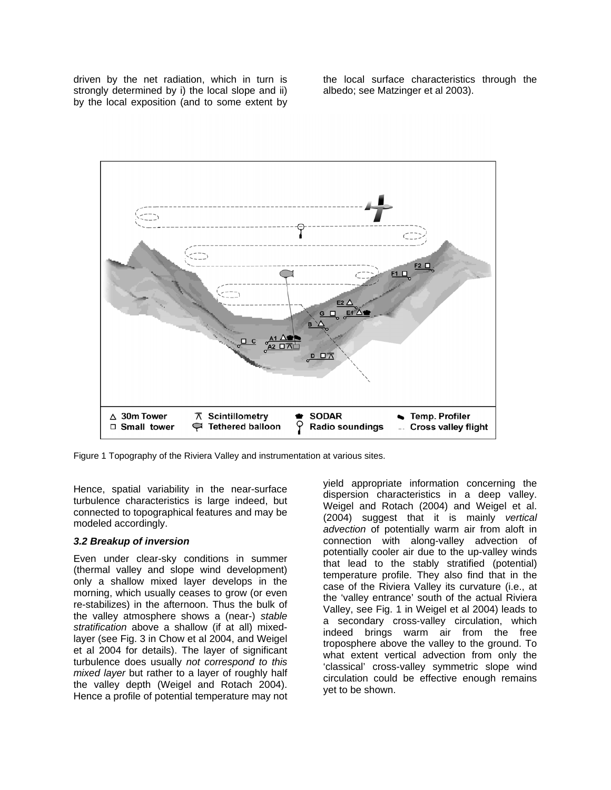driven by the net radiation, which in turn is strongly determined by i) the local slope and ii) by the local exposition (and to some extent by the local surface characteristics through the albedo; see Matzinger et al 2003).



Figure 1 Topography of the Riviera Valley and instrumentation at various sites.

Hence, spatial variability in the near-surface turbulence characteristics is large indeed, but connected to topographical features and may be modeled accordingly.

### *3.2 Breakup of inversion*

Even under clear-sky conditions in summer (thermal valley and slope wind development) only a shallow mixed layer develops in the morning, which usually ceases to grow (or even re-stabilizes) in the afternoon. Thus the bulk of the valley atmosphere shows a (near-) *stable stratification* above a shallow (if at all) mixedlayer (see Fig. 3 in Chow et al 2004, and Weigel et al 2004 for details). The layer of significant turbulence does usually *not correspond to this mixed layer* but rather to a layer of roughly half the valley depth (Weigel and Rotach 2004). Hence a profile of potential temperature may not

yield appropriate information concerning the dispersion characteristics in a deep valley. Weigel and Rotach (2004) and Weigel et al. (2004) suggest that it is mainly *vertical advection* of potentially warm air from aloft in connection with along-valley advection of potentially cooler air due to the up-valley winds that lead to the stably stratified (potential) temperature profile. They also find that in the case of the Riviera Valley its curvature (i.e., at the 'valley entrance' south of the actual Riviera Valley, see Fig. 1 in Weigel et al 2004) leads to a secondary cross-valley circulation, which indeed brings warm air from the free troposphere above the valley to the ground. To what extent vertical advection from only the 'classical' cross-valley symmetric slope wind circulation could be effective enough remains yet to be shown.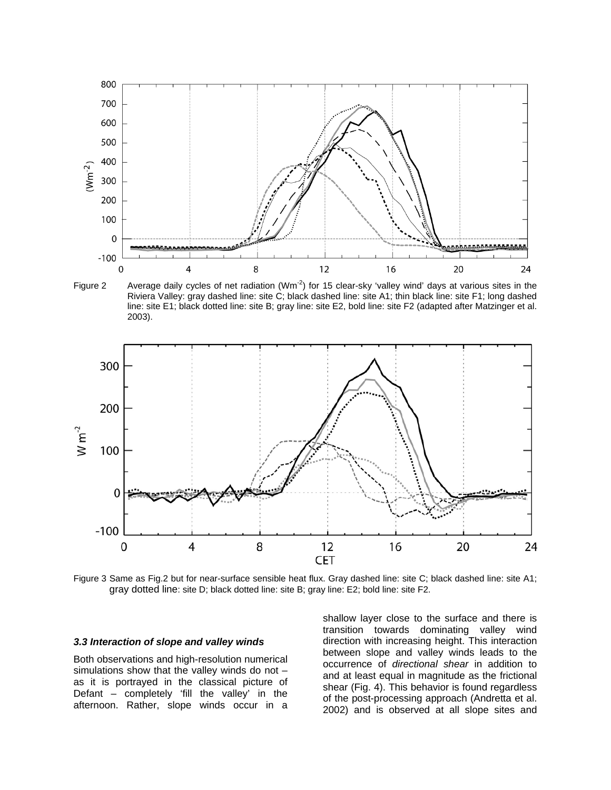

Figure 2 Average daily cycles of net radiation  $(Wm^{-2})$  for 15 clear-sky 'valley wind' days at various sites in the Riviera Valley: gray dashed line: site C; black dashed line: site A1; thin black line: site F1; long dashed line: site E1; black dotted line: site B; gray line: site E2, bold line: site F2 (adapted after Matzinger et al. 2003).



Figure 3 Same as Fig.2 but for near-surface sensible heat flux. Gray dashed line: site C; black dashed line: site A1; gray dotted line: site D; black dotted line: site B; gray line: E2; bold line: site F2.

### *3.3 Interaction of slope and valley winds*

Both observations and high-resolution numerical simulations show that the valley winds do not – as it is portrayed in the classical picture of Defant – completely 'fill the valley' in the afternoon. Rather, slope winds occur in a

shallow layer close to the surface and there is transition towards dominating valley wind direction with increasing height. This interaction between slope and valley winds leads to the occurrence of *directional shear* in addition to and at least equal in magnitude as the frictional shear (Fig. 4). This behavior is found regardless of the post-processing approach (Andretta et al. 2002) and is observed at all slope sites and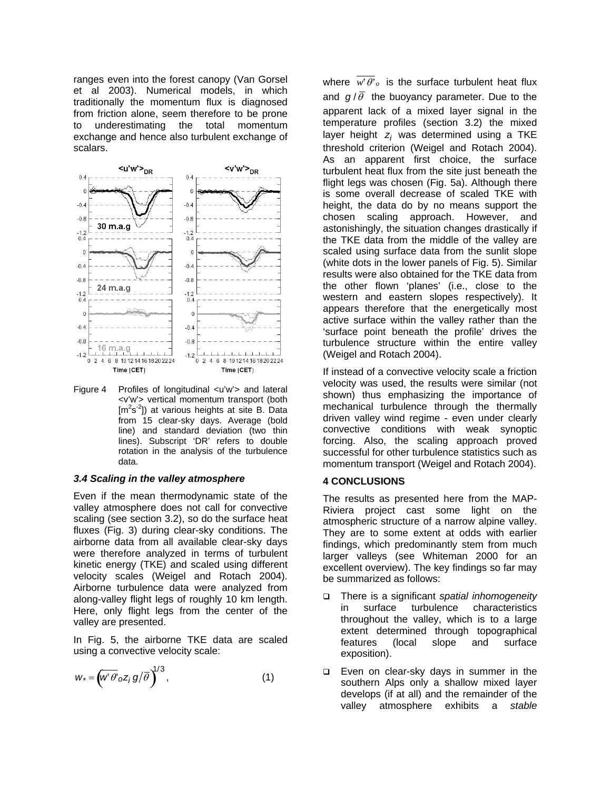ranges even into the forest canopy (Van Gorsel et al 2003). Numerical models, in which traditionally the momentum flux is diagnosed from friction alone, seem therefore to be prone to underestimating the total momentum exchange and hence also turbulent exchange of scalars.



Figure 4 Profiles of longitudinal <u'w'> and lateral <v'w'> vertical momentum transport (both [m<sup>2</sup>s<sup>-2</sup>]) at various heights at site B. Data from 15 clear-sky days. Average (bold line) and standard deviation (two thin lines). Subscript 'DR' refers to double rotation in the analysis of the turbulence data.

### *3.4 Scaling in the valley atmosphere*

Even if the mean thermodynamic state of the valley atmosphere does not call for convective scaling (see section 3.2), so do the surface heat fluxes (Fig. 3) during clear-sky conditions. The airborne data from all available clear-sky days were therefore analyzed in terms of turbulent kinetic energy (TKE) and scaled using different velocity scales (Weigel and Rotach 2004). Airborne turbulence data were analyzed from along-valley flight legs of roughly 10 km length. Here, only flight legs from the center of the valley are presented.

In Fig. 5, the airborne TKE data are scaled using a convective velocity scale:

$$
W^* = \left(W'\overline{\theta'}_0 Z_j g/\overline{\theta}\right)^{1/3},\tag{1}
$$

where  $\overline{w' \theta'}_o$  is the surface turbulent heat flux and  $g/\bar{\theta}$  the buoyancy parameter. Due to the apparent lack of a mixed layer signal in the temperature profiles (section 3.2) the mixed layer height *zi* was determined using a TKE threshold criterion (Weigel and Rotach 2004). As an apparent first choice, the surface turbulent heat flux from the site just beneath the flight legs was chosen (Fig. 5a). Although there is some overall decrease of scaled TKE with height, the data do by no means support the chosen scaling approach. However, and astonishingly, the situation changes drastically if the TKE data from the middle of the valley are scaled using surface data from the sunlit slope (white dots in the lower panels of Fig. 5). Similar results were also obtained for the TKE data from the other flown 'planes' (i.e., close to the western and eastern slopes respectively). It appears therefore that the energetically most active surface within the valley rather than the 'surface point beneath the profile' drives the turbulence structure within the entire valley (Weigel and Rotach 2004).

If instead of a convective velocity scale a friction velocity was used, the results were similar (not shown) thus emphasizing the importance of mechanical turbulence through the thermally driven valley wind regime - even under clearly convective conditions with weak synoptic forcing. Also, the scaling approach proved successful for other turbulence statistics such as momentum transport (Weigel and Rotach 2004).

### **4 CONCLUSIONS**

The results as presented here from the MAP-Riviera project cast some light on the atmospheric structure of a narrow alpine valley. They are to some extent at odds with earlier findings, which predominantly stem from much larger valleys (see Whiteman 2000 for an excellent overview). The key findings so far may be summarized as follows:

- There is a significant *spatial inhomogeneity* in surface turbulence characteristics throughout the valley, which is to a large extent determined through topographical features (local slope and surface exposition).
- □ Even on clear-sky days in summer in the southern Alps only a shallow mixed layer develops (if at all) and the remainder of the valley atmosphere exhibits a *stable*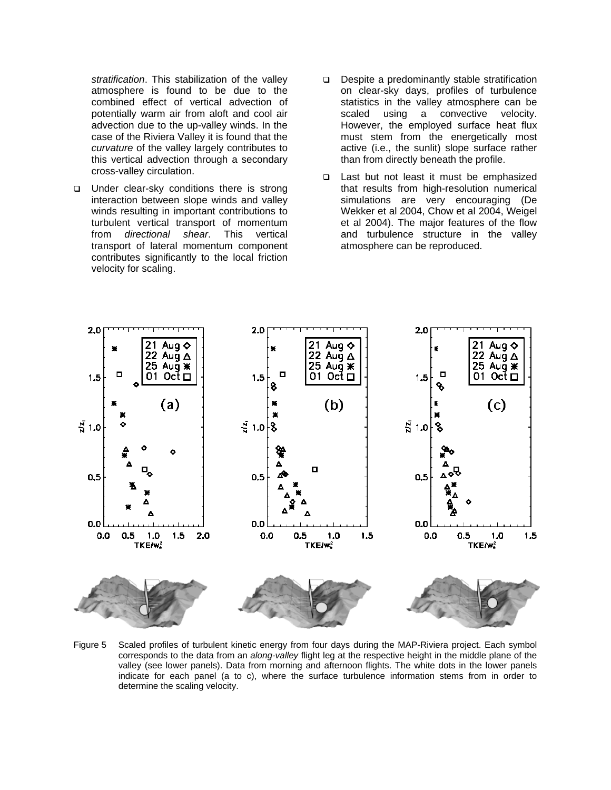*stratification*. This stabilization of the valley atmosphere is found to be due to the combined effect of vertical advection of potentially warm air from aloft and cool air advection due to the up-valley winds. In the case of the Riviera Valley it is found that the *curvature* of the valley largely contributes to this vertical advection through a secondary cross-valley circulation.

- $\Box$  Under clear-sky conditions there is strong interaction between slope winds and valley winds resulting in important contributions to turbulent vertical transport of momentum from *directional shear*. This vertical transport of lateral momentum component contributes significantly to the local friction velocity for scaling.
- Despite a predominantly stable stratification on clear-sky days, profiles of turbulence statistics in the valley atmosphere can be scaled using a convective velocity. However, the employed surface heat flux must stem from the energetically most active (i.e., the sunlit) slope surface rather than from directly beneath the profile.
- □ Last but not least it must be emphasized that results from high-resolution numerical simulations are very encouraging (De Wekker et al 2004, Chow et al 2004, Weigel et al 2004). The major features of the flow and turbulence structure in the valley atmosphere can be reproduced.



Figure 5 Scaled profiles of turbulent kinetic energy from four days during the MAP-Riviera project. Each symbol corresponds to the data from an *along-valley* flight leg at the respective height in the middle plane of the valley (see lower panels). Data from morning and afternoon flights. The white dots in the lower panels indicate for each panel (a to c), where the surface turbulence information stems from in order to determine the scaling velocity.